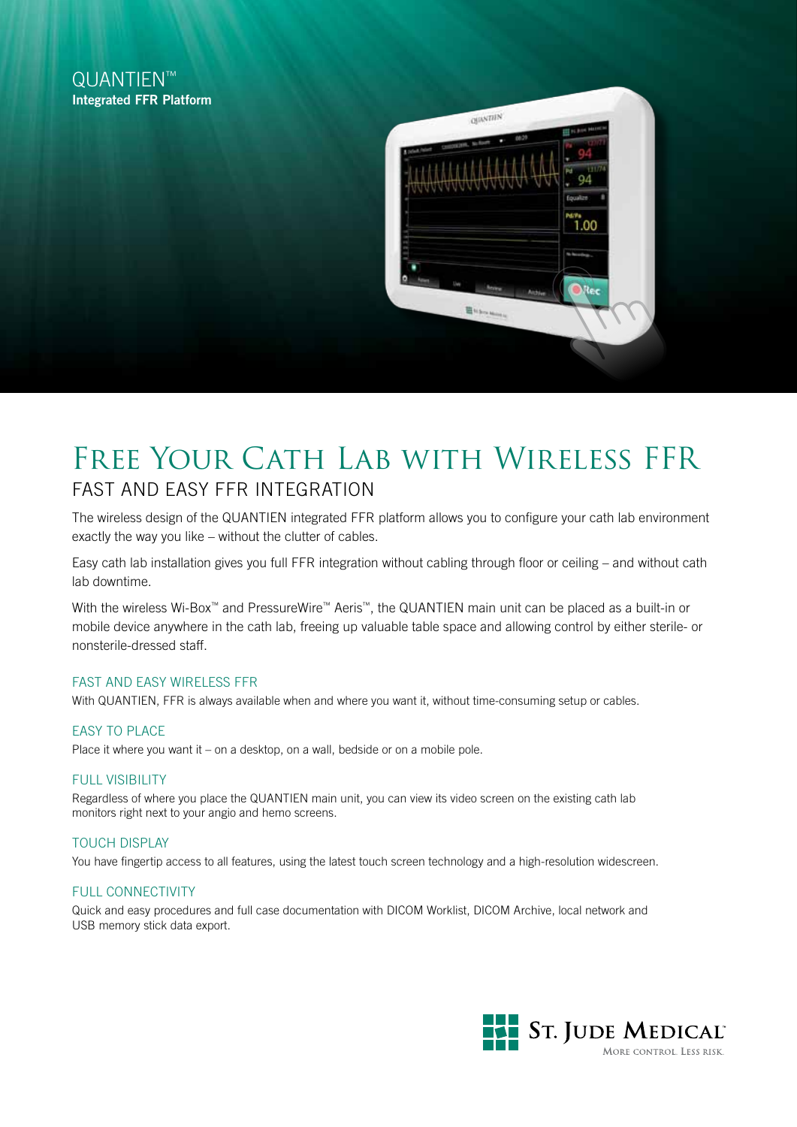# QUANTIFN™ Integrated FFR Platform



# FREE YOUR CATH LAB WITH WIRELESS FFR Fast and Easy FFR Integration

The wireless design of the QUANTIEN integrated FFR platform allows you to configure your cath lab environment exactly the way you like – without the clutter of cables.

Easy cath lab installation gives you full FFR integration without cabling through floor or ceiling – and without cath lab downtime.

With the wireless Wi-Box™ and PressureWire™ Aeris™, the QUANTIEN main unit can be placed as a built-in or mobile device anywhere in the cath lab, freeing up valuable table space and allowing control by either sterile- or nonsterile-dressed staff.

### FAST AND EASY Wireless FFR

With QUANTIEN, FFR is always available when and where you want it, without time-consuming setup or cables.

# **FASY TO PLACE**

Place it where you want it – on a desktop, on a wall, bedside or on a mobile pole.

### **FULL VISIBILITY**

Regardless of where you place the QUANTIEN main unit, you can view its video screen on the existing cath lab monitors right next to your angio and hemo screens.

# Touch display

You have fingertip access to all features, using the latest touch screen technology and a high-resolution widescreen.

### FULL CONNECTIVITY

Quick and easy procedures and full case documentation with DICOM Worklist, DICOM Archive, local network and USB memory stick data export.